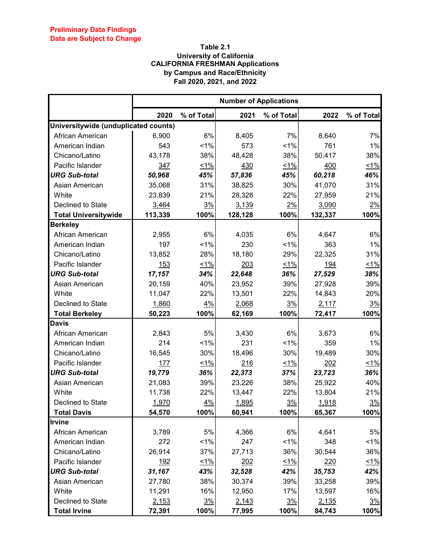## **Table 2.1 University of California CALIFORNIA FRESHMAN Applications by Campus and Race/Ethnicity Fall 2020, 2021, and 2022**

|                                      | <b>Number of Applications</b> |            |         |            |         |            |  |
|--------------------------------------|-------------------------------|------------|---------|------------|---------|------------|--|
|                                      | 2020                          | % of Total | 2021    | % of Total | 2022    | % of Total |  |
| Universitywide (unduplicated counts) |                               |            |         |            |         |            |  |
| African American                     | 6,900                         | 6%         | 8,405   | 7%         | 8,640   | 7%         |  |
| American Indian                      | 543                           | 1%         | 573     | $1\%$      | 761     | 1%         |  |
| Chicano/Latino                       | 43,178                        | 38%        | 48,428  | 38%        | 50,417  | 38%        |  |
| Pacific Islander                     | 347                           | $\leq 1\%$ | 430     | 51%        | 400     | $< 1\%$    |  |
| <b>URG Sub-total</b>                 | 50,968                        | 45%        | 57,836  | 45%        | 60,218  | 46%        |  |
| Asian American                       | 35,068                        | 31%        | 38,825  | $30\%$     | 41,070  | 31%        |  |
| White                                | 23,839                        | 21%        | 28,328  | 22%        | 27,959  | 21%        |  |
| Declined to State                    | 3,464                         | 3%         | 3,139   | $2\%$      | 3,090   | 2%         |  |
| <b>Total Universitywide</b>          | 113,339                       | 100%       | 128,128 | 100%       | 132,337 | 100%       |  |
| <b>Berkeley</b>                      |                               |            |         |            |         |            |  |
| African American                     | 2,955                         | 6%         | 4,035   | 6%         | 4,647   | 6%         |  |
| American Indian                      | 197                           | $1\%$      | 230     | $1\%$      | 363     | 1%         |  |
| Chicano/Latino                       | 13,852                        | 28%        | 18,180  | 29%        | 22,325  | 31%        |  |
| Pacific Islander                     | 153                           | $1\%$      | 203     | 51%        | 194     | $~1\%$     |  |
| <b>URG Sub-total</b>                 | 17,157                        | 34%        | 22,648  | 36%        | 27,529  | 38%        |  |
| Asian American                       | 20,159                        | 40%        | 23,952  | 39%        | 27,928  | 39%        |  |
| White                                | 11,047                        | 22%        | 13,501  | 22%        | 14,843  | 20%        |  |
| Declined to State                    | 1,860                         | $4\%$      | 2,068   | 3%         | 2,117   | 3%         |  |
| <b>Total Berkeley</b>                | 50,223                        | 100%       | 62,169  | 100%       | 72,417  | 100%       |  |
| <b>Davis</b>                         |                               |            |         |            |         |            |  |
| African American                     | 2,843                         | 5%         | 3,430   | $6\%$      | 3,673   | 6%         |  |
| American Indian                      | 214                           | 1%         | 231     | 1%         | 359     | 1%         |  |
| Chicano/Latino                       | 16,545                        | 30%        | 18,496  | 30%        | 19,489  | 30%        |  |
| Pacific Islander                     | 177                           | $1\%$      | 216     | $1\%$      | 202     | $~1\%$     |  |
| <b>URG Sub-total</b>                 | 19,779                        | 36%        | 22,373  | 37%        | 23,723  | 36%        |  |
| Asian American                       | 21,083                        | 39%        | 23,226  | 38%        | 25,922  | 40%        |  |
| White                                | 11,738                        | 22%        | 13,447  | 22%        | 13,804  | 21%        |  |
| Declined to State                    | 1,970                         | 4%         | 1,895   | 3%         | 1,918   | <u>3%</u>  |  |
| <b>Total Davis</b>                   | 54,570                        | 100%       | 60,941  | 100%       | 65,367  | 100%       |  |
| <b>Irvine</b>                        |                               |            |         |            |         |            |  |
| African American                     | 3,789                         | 5%         | 4,366   | 6%         | 4,641   | 5%         |  |
| American Indian                      | 272                           | $< 1\%$    | 247     | 1%         | 348     | $1\%$      |  |
| Chicano/Latino                       | 26,914                        | 37%        | 27,713  | 36%        | 30,544  | 36%        |  |
| Pacific Islander                     | 192                           | $~1\%$     | 202     | 1%         | 220     | $1\%$      |  |
| <b>URG Sub-total</b>                 | 31,167                        | 43%        | 32,528  | 42%        | 35,753  | 42%        |  |
| Asian American                       | 27,780                        | 38%        | 30,374  | 39%        | 33,258  | 39%        |  |
| White                                | 11,291                        | 16%        | 12,950  | 17%        | 13,597  | 16%        |  |
| Declined to State                    | 2,153                         | 3%         | 2,143   | 3%         | 2,135   | 3%         |  |
| <b>Total Irvine</b>                  | 72,391                        | 100%       | 77,995  | 100%       | 84,743  | 100%       |  |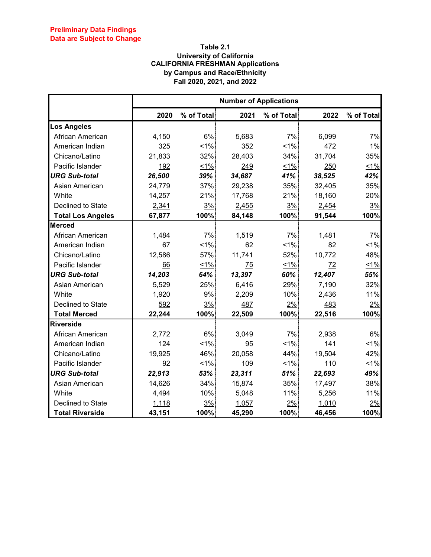## **Table 2.1 University of California CALIFORNIA FRESHMAN Applications by Campus and Race/Ethnicity Fall 2020, 2021, and 2022**

|                          | <b>Number of Applications</b> |            |        |            |        |            |  |
|--------------------------|-------------------------------|------------|--------|------------|--------|------------|--|
|                          | 2020                          | % of Total | 2021   | % of Total | 2022   | % of Total |  |
| <b>Los Angeles</b>       |                               |            |        |            |        |            |  |
| African American         | 4,150                         | 6%         | 5,683  | 7%         | 6,099  | 7%         |  |
| American Indian          | 325                           | 1%         | 352    | 1%         | 472    | 1%         |  |
| Chicano/Latino           | 21,833                        | 32%        | 28,403 | 34%        | 31,704 | 35%        |  |
| Pacific Islander         | 192                           | $\leq 1\%$ | 249    | 51%        | 250    | $1\%$      |  |
| <b>URG Sub-total</b>     | 26,500                        | 39%        | 34,687 | 41%        | 38,525 | 42%        |  |
| Asian American           | 24,779                        | 37%        | 29,238 | 35%        | 32,405 | 35%        |  |
| White                    | 14,257                        | 21%        | 17,768 | 21%        | 18,160 | 20%        |  |
| Declined to State        | 2,341                         | 3%         | 2,455  | 3%         | 2,454  | 3%         |  |
| <b>Total Los Angeles</b> | 67,877                        | 100%       | 84,148 | 100%       | 91,544 | 100%       |  |
| <b>Merced</b>            |                               |            |        |            |        |            |  |
| African American         | 1,484                         | 7%         | 1,519  | 7%         | 1,481  | 7%         |  |
| American Indian          | 67                            | 1%         | 62     | 1%         | 82     | 1%         |  |
| Chicano/Latino           | 12,586                        | 57%        | 11,741 | 52%        | 10,772 | 48%        |  |
| Pacific Islander         | 66                            | 1%         | 75     | 1%         | 72     | $1\%$      |  |
| <b>URG Sub-total</b>     | 14,203                        | 64%        | 13,397 | 60%        | 12,407 | 55%        |  |
| Asian American           | 5,529                         | 25%        | 6,416  | 29%        | 7,190  | 32%        |  |
| White                    | 1,920                         | 9%         | 2,209  | 10%        | 2,436  | 11%        |  |
| Declined to State        | 592                           | 3%         | 487    | 2%         | 483    | 2%         |  |
| <b>Total Merced</b>      | 22,244                        | 100%       | 22,509 | 100%       | 22,516 | 100%       |  |
| <b>Riverside</b>         |                               |            |        |            |        |            |  |
| African American         | 2,772                         | 6%         | 3,049  | 7%         | 2,938  | 6%         |  |
| American Indian          | 124                           | 1%         | 95     | 1%         | 141    | $1\%$      |  |
| Chicano/Latino           | 19,925                        | 46%        | 20,058 | 44%        | 19,504 | 42%        |  |
| Pacific Islander         | 92                            | 1%         | 109    | 1%         | 110    | 1%         |  |
| <b>URG Sub-total</b>     | 22,913                        | 53%        | 23,311 | 51%        | 22,693 | 49%        |  |
| Asian American           | 14,626                        | 34%        | 15,874 | 35%        | 17,497 | 38%        |  |
| White                    | 4,494                         | 10%        | 5,048  | 11%        | 5,256  | 11%        |  |
| Declined to State        | 1,118                         | 3%         | 1,057  | 2%         | 1,010  | 2%         |  |
| <b>Total Riverside</b>   | 43,151                        | 100%       | 45,290 | 100%       | 46,456 | 100%       |  |